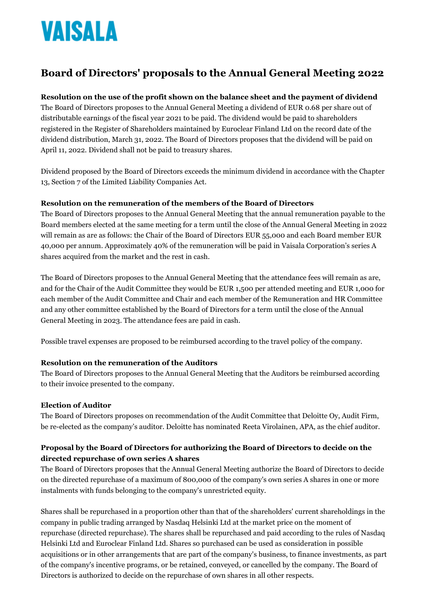# VAISALA

# **Board of Directors' proposals to the Annual General Meeting 2022**

### **Resolution on the use of the profit shown on the balance sheet and the payment of dividend**

The Board of Directors proposes to the Annual General Meeting a dividend of EUR 0.68 per share out of distributable earnings of the fiscal year 2021 to be paid. The dividend would be paid to shareholders registered in the Register of Shareholders maintained by Euroclear Finland Ltd on the record date of the dividend distribution, March 31, 2022. The Board of Directors proposes that the dividend will be paid on April 11, 2022. Dividend shall not be paid to treasury shares.

Dividend proposed by the Board of Directors exceeds the minimum dividend in accordance with the Chapter 13, Section 7 of the Limited Liability Companies Act.

#### **Resolution on the remuneration of the members of the Board of Directors**

The Board of Directors proposes to the Annual General Meeting that the annual remuneration payable to the Board members elected at the same meeting for a term until the close of the Annual General Meeting in 2022 will remain as are as follows: the Chair of the Board of Directors EUR 55,000 and each Board member EUR 40,000 per annum. Approximately 40% of the remuneration will be paid in Vaisala Corporation's series A shares acquired from the market and the rest in cash.

The Board of Directors proposes to the Annual General Meeting that the attendance fees will remain as are, and for the Chair of the Audit Committee they would be EUR 1,500 per attended meeting and EUR 1,000 for each member of the Audit Committee and Chair and each member of the Remuneration and HR Committee and any other committee established by the Board of Directors for a term until the close of the Annual General Meeting in 2023. The attendance fees are paid in cash.

Possible travel expenses are proposed to be reimbursed according to the travel policy of the company.

#### **Resolution on the remuneration of the Auditors**

The Board of Directors proposes to the Annual General Meeting that the Auditors be reimbursed according to their invoice presented to the company.

#### **Election of Auditor**

The Board of Directors proposes on recommendation of the Audit Committee that Deloitte Oy, Audit Firm, be re-elected as the company's auditor. Deloitte has nominated Reeta Virolainen, APA, as the chief auditor.

## **Proposal by the Board of Directors for authorizing the Board of Directors to decide on the directed repurchase of own series A shares**

The Board of Directors proposes that the Annual General Meeting authorize the Board of Directors to decide on the directed repurchase of a maximum of 800,000 of the company's own series A shares in one or more instalments with funds belonging to the company's unrestricted equity.

Shares shall be repurchased in a proportion other than that of the shareholders' current shareholdings in the company in public trading arranged by Nasdaq Helsinki Ltd at the market price on the moment of repurchase (directed repurchase). The shares shall be repurchased and paid according to the rules of Nasdaq Helsinki Ltd and Euroclear Finland Ltd. Shares so purchased can be used as consideration in possible acquisitions or in other arrangements that are part of the company's business, to finance investments, as part of the company's incentive programs, or be retained, conveyed, or cancelled by the company. The Board of Directors is authorized to decide on the repurchase of own shares in all other respects.